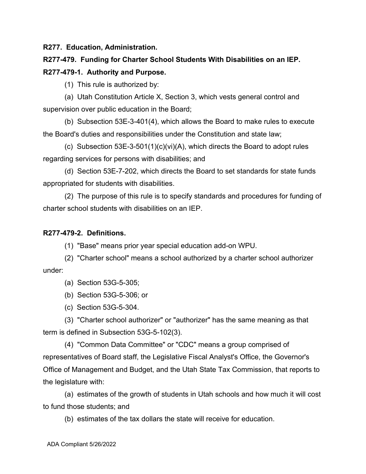**R277. Education, Administration.**

**R277-479. Funding for Charter School Students With Disabilities on an IEP. R277-479-1. Authority and Purpose.**

(1) This rule is authorized by:

(a) Utah Constitution Article X, Section 3, which vests general control and supervision over public education in the Board;

(b) Subsection 53E-3-401(4), which allows the Board to make rules to execute the Board's duties and responsibilities under the Constitution and state law;

(c) Subsection 53E-3-501(1)(c)(vi)(A), which directs the Board to adopt rules regarding services for persons with disabilities; and

(d) Section 53E-7-202, which directs the Board to set standards for state funds appropriated for students with disabilities.

(2) The purpose of this rule is to specify standards and procedures for funding of charter school students with disabilities on an IEP.

## **R277-479-2. Definitions.**

(1) "Base" means prior year special education add-on WPU.

(2) "Charter school" means a school authorized by a charter school authorizer under:

(a) Section 53G-5-305;

(b) Section 53G-5-306; or

(c) Section 53G-5-304.

(3) "Charter school authorizer" or "authorizer" has the same meaning as that term is defined in Subsection 53G-5-102(3).

(4) "Common Data Committee" or "CDC" means a group comprised of representatives of Board staff, the Legislative Fiscal Analyst's Office, the Governor's Office of Management and Budget, and the Utah State Tax Commission, that reports to the legislature with:

(a) estimates of the growth of students in Utah schools and how much it will cost to fund those students; and

(b) estimates of the tax dollars the state will receive for education.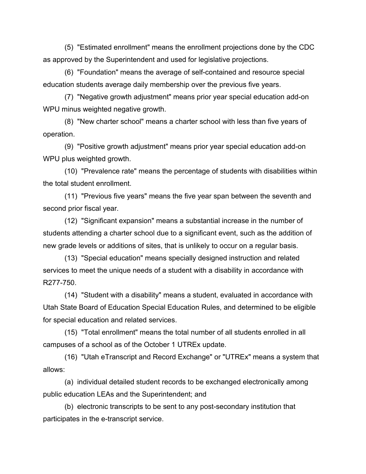(5) "Estimated enrollment" means the enrollment projections done by the CDC as approved by the Superintendent and used for legislative projections.

(6) "Foundation" means the average of self-contained and resource special education students average daily membership over the previous five years.

(7) "Negative growth adjustment" means prior year special education add-on WPU minus weighted negative growth.

(8) "New charter school" means a charter school with less than five years of operation.

(9) "Positive growth adjustment" means prior year special education add-on WPU plus weighted growth.

(10) "Prevalence rate" means the percentage of students with disabilities within the total student enrollment.

(11) "Previous five years" means the five year span between the seventh and second prior fiscal year.

(12) "Significant expansion" means a substantial increase in the number of students attending a charter school due to a significant event, such as the addition of new grade levels or additions of sites, that is unlikely to occur on a regular basis.

(13) "Special education" means specially designed instruction and related services to meet the unique needs of a student with a disability in accordance with R277-750.

(14) "Student with a disability" means a student, evaluated in accordance with Utah State Board of Education Special Education Rules, and determined to be eligible for special education and related services.

(15) "Total enrollment" means the total number of all students enrolled in all campuses of a school as of the October 1 UTREx update.

(16) "Utah eTranscript and Record Exchange" or "UTREx" means a system that allows:

(a) individual detailed student records to be exchanged electronically among public education LEAs and the Superintendent; and

(b) electronic transcripts to be sent to any post-secondary institution that participates in the e-transcript service.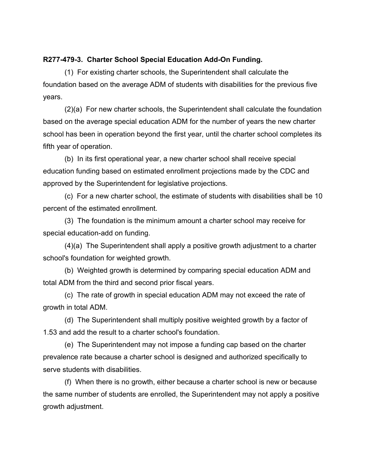## **R277-479-3. Charter School Special Education Add-On Funding.**

(1) For existing charter schools, the Superintendent shall calculate the foundation based on the average ADM of students with disabilities for the previous five years.

(2)(a) For new charter schools, the Superintendent shall calculate the foundation based on the average special education ADM for the number of years the new charter school has been in operation beyond the first year, until the charter school completes its fifth year of operation.

(b) In its first operational year, a new charter school shall receive special education funding based on estimated enrollment projections made by the CDC and approved by the Superintendent for legislative projections.

(c) For a new charter school, the estimate of students with disabilities shall be 10 percent of the estimated enrollment.

(3) The foundation is the minimum amount a charter school may receive for special education-add on funding.

(4)(a) The Superintendent shall apply a positive growth adjustment to a charter school's foundation for weighted growth.

(b) Weighted growth is determined by comparing special education ADM and total ADM from the third and second prior fiscal years.

(c) The rate of growth in special education ADM may not exceed the rate of growth in total ADM.

(d) The Superintendent shall multiply positive weighted growth by a factor of 1.53 and add the result to a charter school's foundation.

(e) The Superintendent may not impose a funding cap based on the charter prevalence rate because a charter school is designed and authorized specifically to serve students with disabilities.

(f) When there is no growth, either because a charter school is new or because the same number of students are enrolled, the Superintendent may not apply a positive growth adjustment.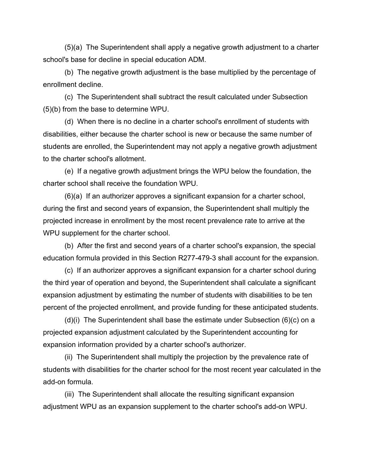(5)(a) The Superintendent shall apply a negative growth adjustment to a charter school's base for decline in special education ADM.

(b) The negative growth adjustment is the base multiplied by the percentage of enrollment decline.

(c) The Superintendent shall subtract the result calculated under Subsection (5)(b) from the base to determine WPU.

(d) When there is no decline in a charter school's enrollment of students with disabilities, either because the charter school is new or because the same number of students are enrolled, the Superintendent may not apply a negative growth adjustment to the charter school's allotment.

(e) If a negative growth adjustment brings the WPU below the foundation, the charter school shall receive the foundation WPU.

(6)(a) If an authorizer approves a significant expansion for a charter school, during the first and second years of expansion, the Superintendent shall multiply the projected increase in enrollment by the most recent prevalence rate to arrive at the WPU supplement for the charter school.

(b) After the first and second years of a charter school's expansion, the special education formula provided in this Section R277-479-3 shall account for the expansion.

(c) If an authorizer approves a significant expansion for a charter school during the third year of operation and beyond, the Superintendent shall calculate a significant expansion adjustment by estimating the number of students with disabilities to be ten percent of the projected enrollment, and provide funding for these anticipated students.

(d)(i) The Superintendent shall base the estimate under Subsection (6)(c) on a projected expansion adjustment calculated by the Superintendent accounting for expansion information provided by a charter school's authorizer.

(ii) The Superintendent shall multiply the projection by the prevalence rate of students with disabilities for the charter school for the most recent year calculated in the add-on formula.

(iii) The Superintendent shall allocate the resulting significant expansion adjustment WPU as an expansion supplement to the charter school's add-on WPU.